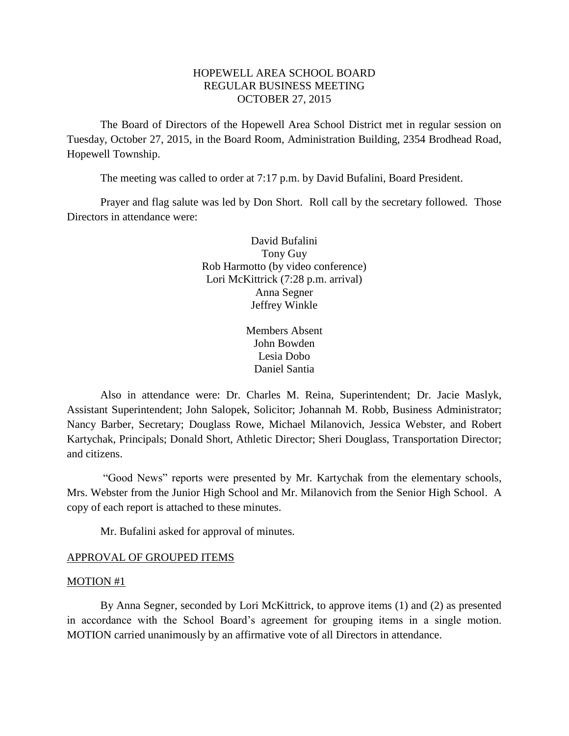## HOPEWELL AREA SCHOOL BOARD REGULAR BUSINESS MEETING OCTOBER 27, 2015

The Board of Directors of the Hopewell Area School District met in regular session on Tuesday, October 27, 2015, in the Board Room, Administration Building, 2354 Brodhead Road, Hopewell Township.

The meeting was called to order at 7:17 p.m. by David Bufalini, Board President.

Prayer and flag salute was led by Don Short. Roll call by the secretary followed. Those Directors in attendance were:

> David Bufalini Tony Guy Rob Harmotto (by video conference) Lori McKittrick (7:28 p.m. arrival) Anna Segner Jeffrey Winkle

> > Members Absent John Bowden Lesia Dobo Daniel Santia

Also in attendance were: Dr. Charles M. Reina, Superintendent; Dr. Jacie Maslyk, Assistant Superintendent; John Salopek, Solicitor; Johannah M. Robb, Business Administrator; Nancy Barber, Secretary; Douglass Rowe, Michael Milanovich, Jessica Webster, and Robert Kartychak, Principals; Donald Short, Athletic Director; Sheri Douglass, Transportation Director; and citizens.

"Good News" reports were presented by Mr. Kartychak from the elementary schools, Mrs. Webster from the Junior High School and Mr. Milanovich from the Senior High School. A copy of each report is attached to these minutes.

Mr. Bufalini asked for approval of minutes.

#### APPROVAL OF GROUPED ITEMS

#### MOTION #1

By Anna Segner, seconded by Lori McKittrick, to approve items (1) and (2) as presented in accordance with the School Board's agreement for grouping items in a single motion. MOTION carried unanimously by an affirmative vote of all Directors in attendance.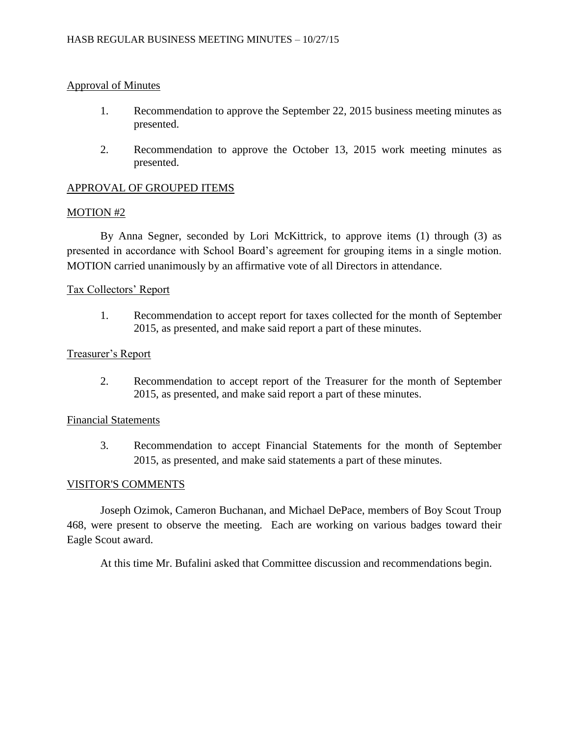## Approval of Minutes

- 1. Recommendation to approve the September 22, 2015 business meeting minutes as presented.
- 2. Recommendation to approve the October 13, 2015 work meeting minutes as presented.

## APPROVAL OF GROUPED ITEMS

#### MOTION #2

By Anna Segner, seconded by Lori McKittrick, to approve items (1) through (3) as presented in accordance with School Board's agreement for grouping items in a single motion. MOTION carried unanimously by an affirmative vote of all Directors in attendance.

### Tax Collectors' Report

1. Recommendation to accept report for taxes collected for the month of September 2015, as presented, and make said report a part of these minutes.

### Treasurer's Report

2. Recommendation to accept report of the Treasurer for the month of September 2015, as presented, and make said report a part of these minutes.

### Financial Statements

3. Recommendation to accept Financial Statements for the month of September 2015, as presented, and make said statements a part of these minutes.

#### VISITOR'S COMMENTS

Joseph Ozimok, Cameron Buchanan, and Michael DePace, members of Boy Scout Troup 468, were present to observe the meeting. Each are working on various badges toward their Eagle Scout award.

At this time Mr. Bufalini asked that Committee discussion and recommendations begin.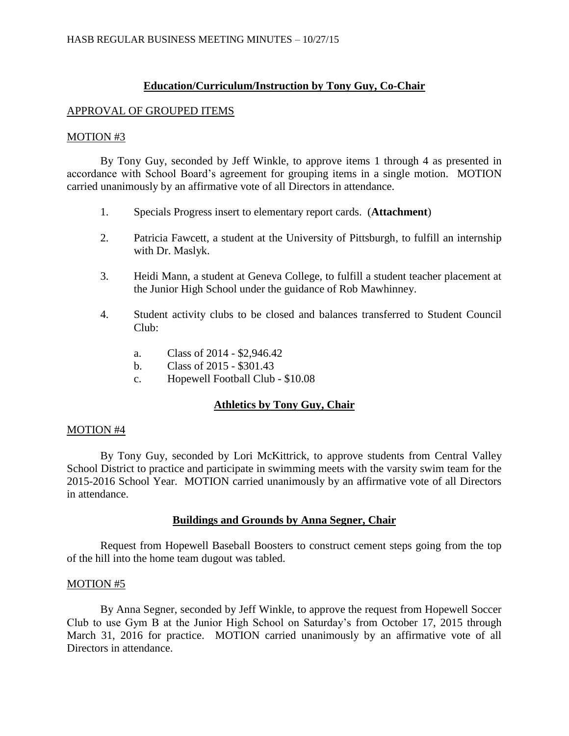### **Education/Curriculum/Instruction by Tony Guy, Co-Chair**

#### APPROVAL OF GROUPED ITEMS

#### MOTION #3

By Tony Guy, seconded by Jeff Winkle, to approve items 1 through 4 as presented in accordance with School Board's agreement for grouping items in a single motion. MOTION carried unanimously by an affirmative vote of all Directors in attendance.

- 1. Specials Progress insert to elementary report cards. (**Attachment**)
- 2. Patricia Fawcett, a student at the University of Pittsburgh, to fulfill an internship with Dr. Maslyk.
- 3. Heidi Mann, a student at Geneva College, to fulfill a student teacher placement at the Junior High School under the guidance of Rob Mawhinney.
- 4. Student activity clubs to be closed and balances transferred to Student Council Club:
	- a. Class of 2014 \$2,946.42
	- b. Class of 2015 \$301.43
	- c. Hopewell Football Club \$10.08

## **Athletics by Tony Guy, Chair**

#### MOTION #4

By Tony Guy, seconded by Lori McKittrick, to approve students from Central Valley School District to practice and participate in swimming meets with the varsity swim team for the 2015-2016 School Year. MOTION carried unanimously by an affirmative vote of all Directors in attendance.

#### **Buildings and Grounds by Anna Segner, Chair**

Request from Hopewell Baseball Boosters to construct cement steps going from the top of the hill into the home team dugout was tabled.

#### MOTION #5

By Anna Segner, seconded by Jeff Winkle, to approve the request from Hopewell Soccer Club to use Gym B at the Junior High School on Saturday's from October 17, 2015 through March 31, 2016 for practice. MOTION carried unanimously by an affirmative vote of all Directors in attendance.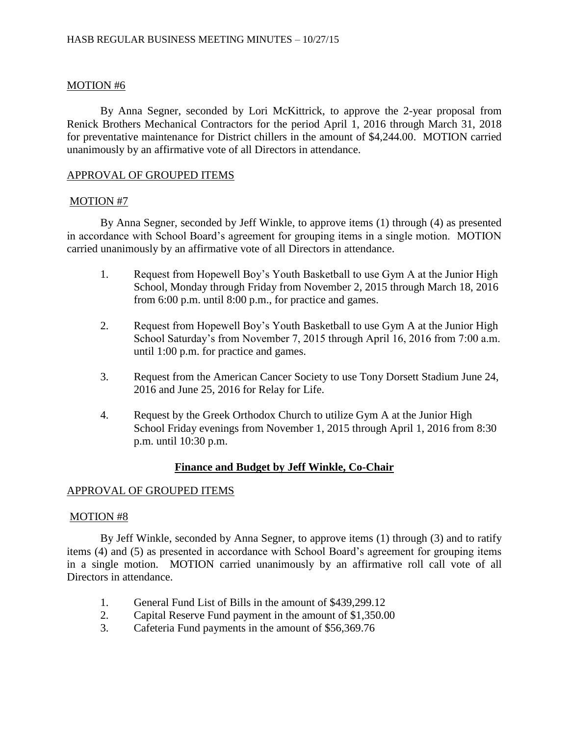## MOTION #6

By Anna Segner, seconded by Lori McKittrick, to approve the 2-year proposal from Renick Brothers Mechanical Contractors for the period April 1, 2016 through March 31, 2018 for preventative maintenance for District chillers in the amount of \$4,244.00. MOTION carried unanimously by an affirmative vote of all Directors in attendance.

## APPROVAL OF GROUPED ITEMS

### MOTION #7

By Anna Segner, seconded by Jeff Winkle, to approve items (1) through (4) as presented in accordance with School Board's agreement for grouping items in a single motion. MOTION carried unanimously by an affirmative vote of all Directors in attendance.

- 1. Request from Hopewell Boy's Youth Basketball to use Gym A at the Junior High School, Monday through Friday from November 2, 2015 through March 18, 2016 from 6:00 p.m. until 8:00 p.m., for practice and games.
- 2. Request from Hopewell Boy's Youth Basketball to use Gym A at the Junior High School Saturday's from November 7, 2015 through April 16, 2016 from 7:00 a.m. until 1:00 p.m. for practice and games.
- 3. Request from the American Cancer Society to use Tony Dorsett Stadium June 24, 2016 and June 25, 2016 for Relay for Life.
- 4. Request by the Greek Orthodox Church to utilize Gym A at the Junior High School Friday evenings from November 1, 2015 through April 1, 2016 from 8:30 p.m. until 10:30 p.m.

# **Finance and Budget by Jeff Winkle, Co-Chair**

## APPROVAL OF GROUPED ITEMS

## MOTION #8

By Jeff Winkle, seconded by Anna Segner, to approve items (1) through (3) and to ratify items (4) and (5) as presented in accordance with School Board's agreement for grouping items in a single motion. MOTION carried unanimously by an affirmative roll call vote of all Directors in attendance.

- 1. General Fund List of Bills in the amount of \$439,299.12
- 2. Capital Reserve Fund payment in the amount of \$1,350.00
- 3. Cafeteria Fund payments in the amount of \$56,369.76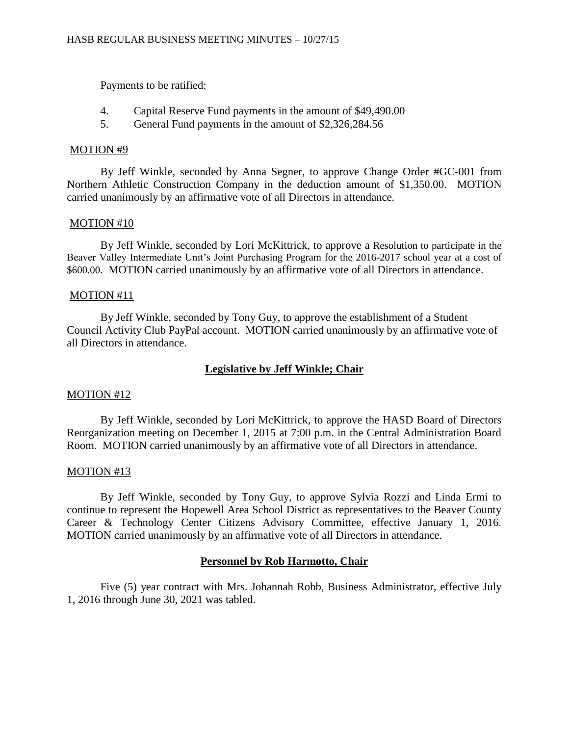Payments to be ratified:

- 4. Capital Reserve Fund payments in the amount of \$49,490.00
- 5. General Fund payments in the amount of \$2,326,284.56

### MOTION #9

By Jeff Winkle, seconded by Anna Segner, to approve Change Order #GC-001 from Northern Athletic Construction Company in the deduction amount of \$1,350.00. MOTION carried unanimously by an affirmative vote of all Directors in attendance.

## MOTION #10

By Jeff Winkle, seconded by Lori McKittrick, to approve a Resolution to participate in the Beaver Valley Intermediate Unit's Joint Purchasing Program for the 2016-2017 school year at a cost of \$600.00. MOTION carried unanimously by an affirmative vote of all Directors in attendance.

### MOTION #11

By Jeff Winkle, seconded by Tony Guy, to approve the establishment of a Student Council Activity Club PayPal account. MOTION carried unanimously by an affirmative vote of all Directors in attendance.

## **Legislative by Jeff Winkle; Chair**

## MOTION #12

By Jeff Winkle, seconded by Lori McKittrick, to approve the HASD Board of Directors Reorganization meeting on December 1, 2015 at 7:00 p.m. in the Central Administration Board Room. MOTION carried unanimously by an affirmative vote of all Directors in attendance.

#### MOTION #13

By Jeff Winkle, seconded by Tony Guy, to approve Sylvia Rozzi and Linda Ermi to continue to represent the Hopewell Area School District as representatives to the Beaver County Career & Technology Center Citizens Advisory Committee, effective January 1, 2016. MOTION carried unanimously by an affirmative vote of all Directors in attendance.

## **Personnel by Rob Harmotto, Chair**

Five (5) year contract with Mrs. Johannah Robb, Business Administrator, effective July 1, 2016 through June 30, 2021 was tabled.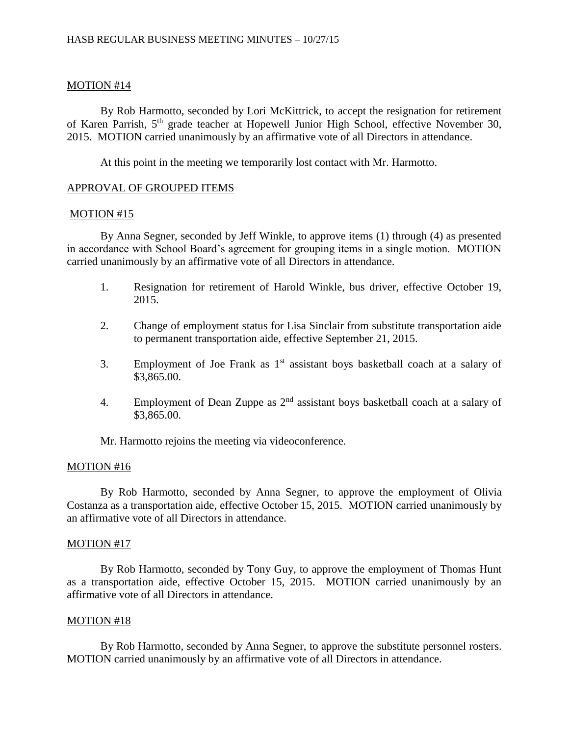## MOTION #14

By Rob Harmotto, seconded by Lori McKittrick, to accept the resignation for retirement of Karen Parrish, 5th grade teacher at Hopewell Junior High School, effective November 30, 2015. MOTION carried unanimously by an affirmative vote of all Directors in attendance.

At this point in the meeting we temporarily lost contact with Mr. Harmotto.

## APPROVAL OF GROUPED ITEMS

### MOTION #15

By Anna Segner, seconded by Jeff Winkle, to approve items (1) through (4) as presented in accordance with School Board's agreement for grouping items in a single motion. MOTION carried unanimously by an affirmative vote of all Directors in attendance.

- 1. Resignation for retirement of Harold Winkle, bus driver, effective October 19, 2015.
- 2. Change of employment status for Lisa Sinclair from substitute transportation aide to permanent transportation aide, effective September 21, 2015.
- 3. Employment of Joe Frank as  $1<sup>st</sup>$  assistant boys basketball coach at a salary of \$3,865.00.
- 4. Employment of Dean Zuppe as  $2<sup>nd</sup>$  assistant boys basketball coach at a salary of \$3,865.00.

Mr. Harmotto rejoins the meeting via videoconference.

## MOTION #16

By Rob Harmotto, seconded by Anna Segner, to approve the employment of Olivia Costanza as a transportation aide, effective October 15, 2015. MOTION carried unanimously by an affirmative vote of all Directors in attendance.

## MOTION #17

By Rob Harmotto, seconded by Tony Guy, to approve the employment of Thomas Hunt as a transportation aide, effective October 15, 2015. MOTION carried unanimously by an affirmative vote of all Directors in attendance.

## MOTION #18

By Rob Harmotto, seconded by Anna Segner, to approve the substitute personnel rosters. MOTION carried unanimously by an affirmative vote of all Directors in attendance.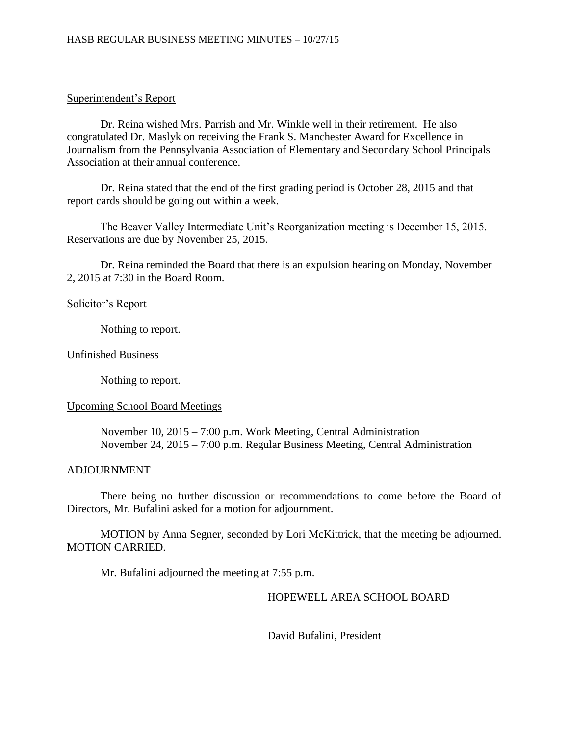## Superintendent's Report

Dr. Reina wished Mrs. Parrish and Mr. Winkle well in their retirement. He also congratulated Dr. Maslyk on receiving the Frank S. Manchester Award for Excellence in Journalism from the Pennsylvania Association of Elementary and Secondary School Principals Association at their annual conference.

Dr. Reina stated that the end of the first grading period is October 28, 2015 and that report cards should be going out within a week.

The Beaver Valley Intermediate Unit's Reorganization meeting is December 15, 2015. Reservations are due by November 25, 2015.

Dr. Reina reminded the Board that there is an expulsion hearing on Monday, November 2, 2015 at 7:30 in the Board Room.

## Solicitor's Report

Nothing to report.

## Unfinished Business

Nothing to report.

## Upcoming School Board Meetings

November 10, 2015 – 7:00 p.m. Work Meeting, Central Administration November 24, 2015 – 7:00 p.m. Regular Business Meeting, Central Administration

## ADJOURNMENT

There being no further discussion or recommendations to come before the Board of Directors, Mr. Bufalini asked for a motion for adjournment.

MOTION by Anna Segner, seconded by Lori McKittrick, that the meeting be adjourned. MOTION CARRIED.

Mr. Bufalini adjourned the meeting at 7:55 p.m.

# HOPEWELL AREA SCHOOL BOARD

David Bufalini, President